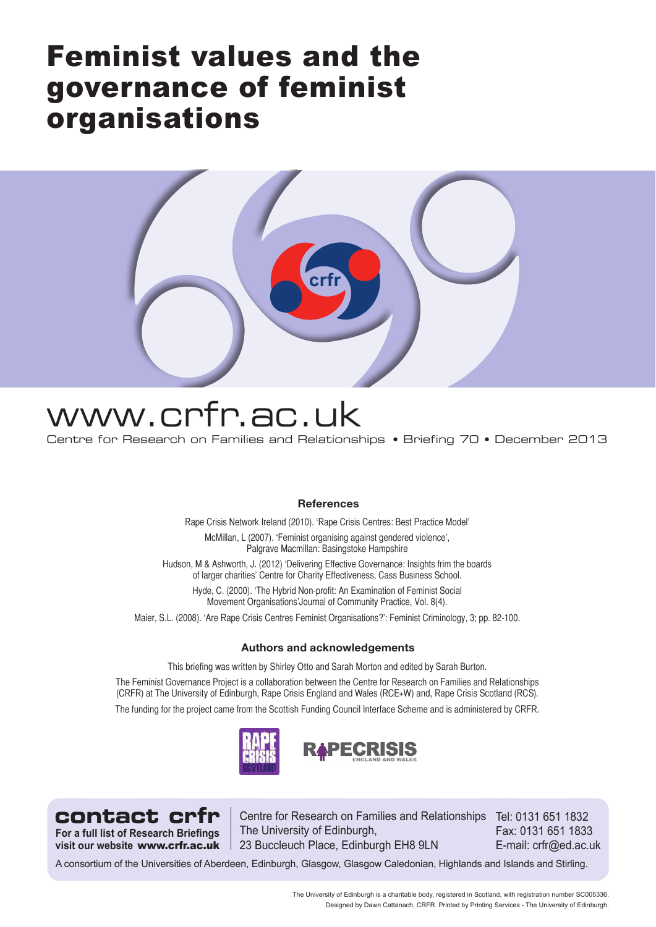# Feminist values and the governance of feminist organisations



# www.crfr.ac.uk

Centre for Research on Families and Relationships • Briefing 70 • December 2013

# **References**

Rape Crisis Network Ireland (2010). 'Rape Crisis Centres: Best Practice Model'

McMillan, L (2007). 'Feminist organising against gendered violence'. Palgrave Macmillan: Basingstoke Hampshire

Hudson, M & Ashworth, J. (2012) 'Delivering Effective Governance: Insights frim the boards of larger charities' Centre for Charity Effectiveness, Cass Business School.

Hyde, C. (2000). 'The Hybrid Non-profit: An Examination of Feminist Social Movement Organisations'Journal of Community Practice, Vol. 8(4).

Maier, S.L. (2008). 'Are Rape Crisis Centres Feminist Organisations?': Feminist Criminology, 3; pp. 82-100.

### **Authors and acknowledgements**

This briefing was written by Shirley Otto and Sarah Morton and edited by Sarah Burton.

The Feminist Governance Project is a collaboration between the Centre for Research on Families and Relationships (CRFR) at The University of Edinburgh, Rape Crisis England and Wales (RCE+W) and, Rape Crisis Scotland (RCS). The funding for the project came from the Scottish Funding Council Interface Scheme and is administered by CRFR.



**For a full list of Research Briefings visit our website**www.crfr.ac.uk

**contact crfr** | Centre for Research on Families and Relationships Tel: 0131 651 1832 The University of Edinburgh, 23 Buccleuch Place, Edinburgh EH8 9LN

Fax: 0131 651 1833 E-mail: crfr@ed.ac.uk

A consortium of the Universities of Aberdeen, Edinburgh, Glasgow, Glasgow Caledonian, Highlands and Islands and Stirling.

The University of Edinburgh is a charitable body, registered in Scotland, with registration number SC005336. Designed by Dawn Cattanach, CRFR. Printed by Printing Services - The University of Edinburgh.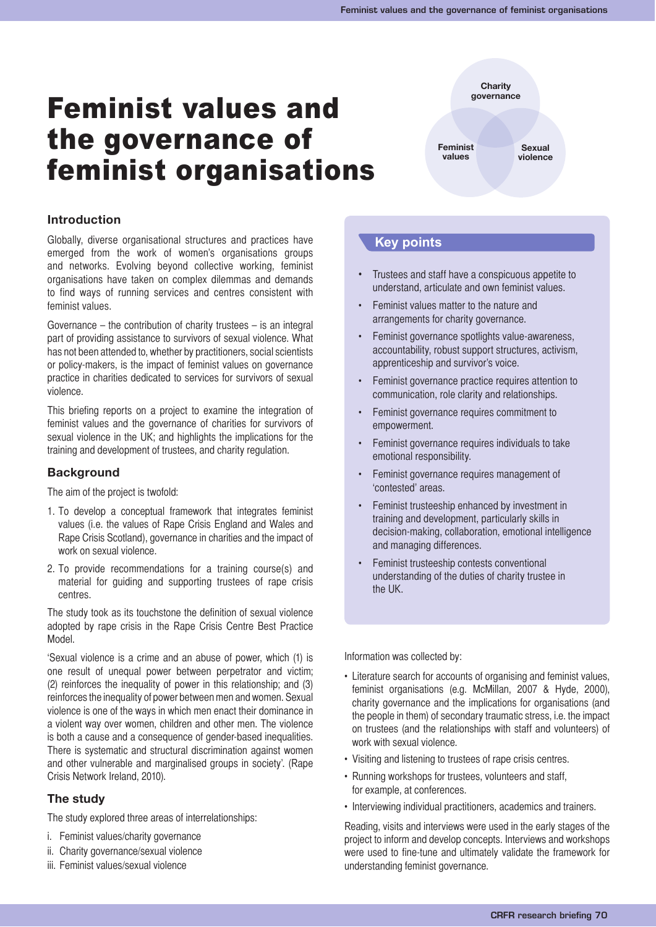# Feminist values and the governance of feminist organisations

**Feminist values Sexual violence**

**Charity governance**

# **Introduction**

Globally, diverse organisational structures and practices have emerged from the work of women's organisations groups and networks. Evolving beyond collective working, feminist organisations have taken on complex dilemmas and demands to find ways of running services and centres consistent with feminist values.

Governance – the contribution of charity trustees – is an integral part of providing assistance to survivors of sexual violence. What has not been attended to, whether by practitioners, social scientists or policy-makers, is the impact of feminist values on governance practice in charities dedicated to services for survivors of sexual violence.

This briefing reports on a project to examine the integration of feminist values and the governance of charities for survivors of sexual violence in the UK; and highlights the implications for the training and development of trustees, and charity regulation.

# **Background**

The aim of the project is twofold:

- 1. To develop a conceptual framework that integrates feminist values (i.e. the values of Rape Crisis England and Wales and Rape Crisis Scotland), governance in charities and the impact of work on sexual violence.
- 2. To provide recommendations for a training course(s) and material for guiding and supporting trustees of rape crisis centres.

The study took as its touchstone the definition of sexual violence adopted by rape crisis in the Rape Crisis Centre Best Practice Model.

'Sexual violence is a crime and an abuse of power, which (1) is one result of unequal power between perpetrator and victim; (2) reinforces the inequality of power in this relationship; and (3) reinforces the inequality of power between men and women. Sexual violence is one of the ways in which men enact their dominance in a violent way over women, children and other men. The violence is both a cause and a consequence of gender-based inequalities. There is systematic and structural discrimination against women and other vulnerable and marginalised groups in society'. (Rape Crisis Network Ireland, 2010).

# **The study**

The study explored three areas of interrelationships:

- i. Feminist values/charity governance
- ii. Charity governance/sexual violence
- iii. Feminist values/sexual violence

# **Key points**

- Trustees and staff have a conspicuous appetite to understand, articulate and own feminist values.
- Feminist values matter to the nature and arrangements for charity governance.
- Feminist governance spotlights value-awareness, accountability, robust support structures, activism, apprenticeship and survivor's voice.
- Feminist governance practice requires attention to communication, role clarity and relationships.
- Feminist governance requires commitment to empowerment.
- Feminist governance requires individuals to take emotional responsibility.
- Feminist governance requires management of 'contested' areas.
- Feminist trusteeship enhanced by investment in training and development, particularly skills in decision-making, collaboration, emotional intelligence and managing differences.
- Feminist trusteeship contests conventional understanding of the duties of charity trustee in the UK.

Information was collected by:

- Literature search for accounts of organising and feminist values, feminist organisations (e.g. McMillan, 2007 & Hyde, 2000), charity governance and the implications for organisations (and the people in them) of secondary traumatic stress, i.e. the impact on trustees (and the relationships with staff and volunteers) of work with sexual violence.
- Visiting and listening to trustees of rape crisis centres.
- Running workshops for trustees, volunteers and staff, for example, at conferences.
- Interviewing individual practitioners, academics and trainers.

Reading, visits and interviews were used in the early stages of the project to inform and develop concepts. Interviews and workshops were used to fine-tune and ultimately validate the framework for understanding feminist governance.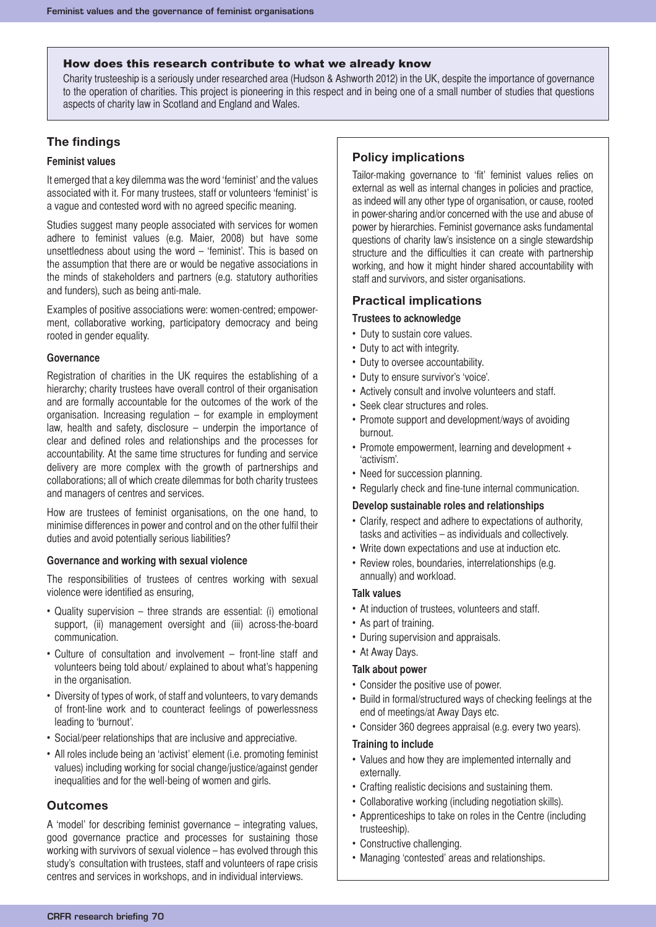#### How does this research contribute to what we already know

Charity trusteeship is a seriously under researched area (Hudson & Ashworth 2012) in the UK, despite the importance of governance to the operation of charities. This project is pioneering in this respect and in being one of a small number of studies that questions aspects of charity law in Scotland and England and Wales.

# **The findings**

## **Feminist values**

It emerged that a key dilemma was the word 'feminist' and the values associated with it. For many trustees, staff or volunteers 'feminist' is a vague and contested word with no agreed specific meaning.

Studies suggest many people associated with services for women adhere to feminist values (e.g. Maier, 2008) but have some unsettledness about using the word – 'feminist'. This is based on the assumption that there are or would be negative associations in the minds of stakeholders and partners (e.g. statutory authorities and funders), such as being anti-male.

Examples of positive associations were: women-centred; empowerment, collaborative working, participatory democracy and being rooted in gender equality.

#### **Governance**

Registration of charities in the UK requires the establishing of a hierarchy; charity trustees have overall control of their organisation and are formally accountable for the outcomes of the work of the organisation. Increasing regulation – for example in employment law, health and safety, disclosure – underpin the importance of clear and defined roles and relationships and the processes for accountability. At the same time structures for funding and service delivery are more complex with the growth of partnerships and collaborations; all of which create dilemmas for both charity trustees and managers of centres and services.

How are trustees of feminist organisations, on the one hand, to minimise differences in power and control and on the other fulfil their duties and avoid potentially serious liabilities?

#### **Governance and working with sexual violence**

The responsibilities of trustees of centres working with sexual violence were identified as ensuring,

- Quality supervision three strands are essential: (i) emotional support, (ii) management oversight and (iii) across-the-board communication.
- Culture of consultation and involvement front-line staff and volunteers being told about/ explained to about what's happening in the organisation.
- Diversity of types of work, of staff and volunteers, to vary demands of front-line work and to counteract feelings of powerlessness leading to 'burnout'.
- Social/peer relationships that are inclusive and appreciative.
- All roles include being an 'activist' element (i.e. promoting feminist values) including working for social change/justice/against gender inequalities and for the well-being of women and girls.

### **Outcomes**

A 'model' for describing feminist governance – integrating values, good governance practice and processes for sustaining those working with survivors of sexual violence – has evolved through this study's consultation with trustees, staff and volunteers of rape crisis centres and services in workshops, and in individual interviews.

# **Policy implications**

Tailor-making governance to 'fit' feminist values relies on external as well as internal changes in policies and practice, as indeed will any other type of organisation, or cause, rooted in power-sharing and/or concerned with the use and abuse of power by hierarchies. Feminist governance asks fundamental questions of charity law's insistence on a single stewardship structure and the difficulties it can create with partnership working, and how it might hinder shared accountability with staff and survivors, and sister organisations.

## **Practical implications**

#### **Trustees to acknowledge**

- Duty to sustain core values.
- Duty to act with integrity.
- Duty to oversee accountability.
- Duty to ensure survivor's 'voice'.
- Actively consult and involve volunteers and staff.
- Seek clear structures and roles.
- Promote support and development/ways of avoiding burnout.
- Promote empowerment, learning and development + 'activism'.
- Need for succession planning.
- Regularly check and fine-tune internal communication.

#### **Develop sustainable roles and relationships**

- Clarify, respect and adhere to expectations of authority, tasks and activities – as individuals and collectively.
- Write down expectations and use at induction etc.
- Review roles, boundaries, interrelationships (e.g. annually) and workload.

#### **Talk values**

- At induction of trustees, volunteers and staff.
- As part of training.
- During supervision and appraisals.
- At Away Days.

#### **Talk about power**

- Consider the positive use of power.
- Build in formal/structured ways of checking feelings at the end of meetings/at Away Days etc.
- Consider 360 degrees appraisal (e.g. every two years).

#### **Training to include**

- Values and how they are implemented internally and externally.
- Crafting realistic decisions and sustaining them.
- Collaborative working (including negotiation skills).
- Apprenticeships to take on roles in the Centre (including trusteeship).
- Constructive challenging.
- Managing 'contested' areas and relationships.